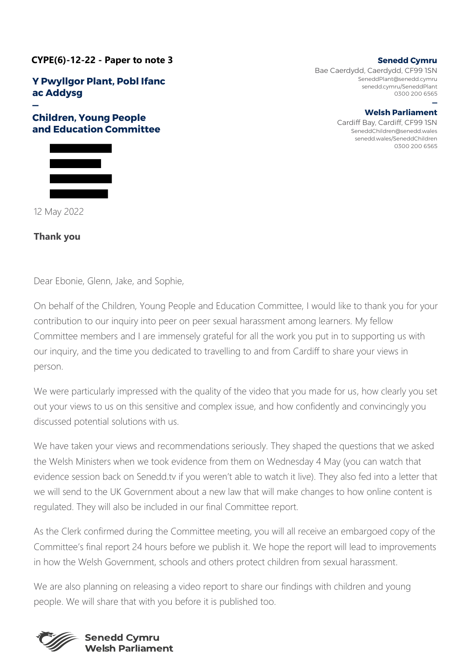**CYPE(6)-12-22 - Paper to note 3**

**Y Pwyllgor Plant, Pobl Ifanc ac Addysg** 

## **— Children, Young People and Education Committee**



12 May 2022

## **Thank you**

**Senedd Cymru** 

Bae Caerdydd, Caerdydd, CF99 1SN SeneddPlant@senedd.cymru senedd.cymru/SeneddPlant 0300 200 6565

**— Welsh Parliament** 

Cardiff Bay, Cardiff, CF99 1SN SeneddChildren@senedd.wales senedd.wales/SeneddChildren 0300 200 6565

Dear Ebonie, Glenn, Jake, and Sophie,

On behalf of the Children, Young People and Education Committee, I would like to thank you for your contribution to our inquiry into peer on peer sexual harassment among learners. My fellow Committee members and I are immensely grateful for all the work you put in to supporting us with our inquiry, and the time you dedicated to travelling to and from Cardiff to share your views in person.

We were particularly impressed with the quality of the video that you made for us, how clearly you set out your views to us on this sensitive and complex issue, and how confidently and convincingly you discussed potential solutions with us.

We have taken your views and recommendations seriously. They shaped the questions that we asked the Welsh Ministers when we took evidence from them on Wednesday 4 May (you can watch that evidence session back on Senedd.tv if you weren't able to watch it live). They also fed into a letter that we will send to the UK Government about a new law that will make changes to how online content is regulated. They will also be included in our final Committee report.

As the Clerk confirmed during the Committee meeting, you will all receive an embargoed copy of the Committee's final report 24 hours before we publish it. We hope the report will lead to improvements in how the Welsh Government, schools and others protect children from sexual harassment.

We are also planning on releasing a video report to share our findings with children and young people. We will share that with you before it is published too.